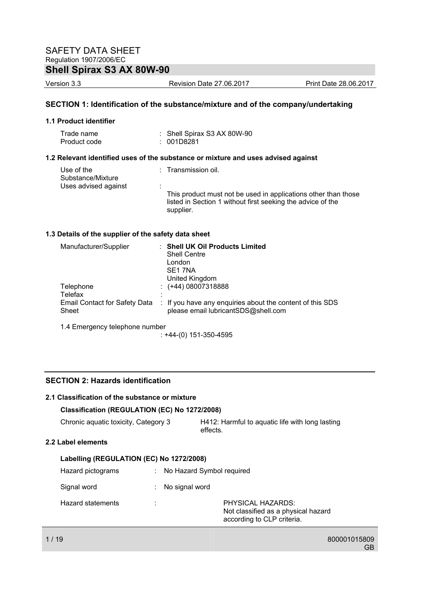Version 3.3 Revision Date 27.06.2017 Print Date 28.06.2017

#### **SECTION 1: Identification of the substance/mixture and of the company/undertaking**

#### **1.1 Product identifier**

| Trade name   | : Shell Spirax S3 AX 80W-90 |
|--------------|-----------------------------|
| Product code | : 001D8281                  |

#### **1.2 Relevant identified uses of the substance or mixture and uses advised against**

| Use of the<br>Substance/Mixture | : Transmission oil.                                                                                                                        |
|---------------------------------|--------------------------------------------------------------------------------------------------------------------------------------------|
| Uses advised against            |                                                                                                                                            |
|                                 | This product must not be used in applications other than those<br>listed in Section 1 without first seeking the advice of the<br>supplier. |

#### **1.3 Details of the supplier of the safety data sheet**

| Manufacturer/Supplier                         | <b>Shell UK Oil Products Limited</b><br><b>Shell Centre</b><br>London<br>SE1 7NA<br>United Kingdom |
|-----------------------------------------------|----------------------------------------------------------------------------------------------------|
| Telephone<br>Telefax                          | $\div$ (+44) 08007318888                                                                           |
| <b>Email Contact for Safety Data</b><br>Sheet | : If you have any enquiries about the content of this SDS<br>please email lubricantSDS@shell.com   |
| 1.4 Emergency telephone number                |                                                                                                    |

: +44-(0) 151-350-4595

### **SECTION 2: Hazards identification**

#### **2.1 Classification of the substance or mixture**

#### **Classification (REGULATION (EC) No 1272/2008)**

Chronic aquatic toxicity, Category 3 H412: Harmful to aquatic life with long lasting effects.

#### **2.2 Label elements**

| Labelling (REGULATION (EC) No 1272/2008) |   |                                                 |                                     |
|------------------------------------------|---|-------------------------------------------------|-------------------------------------|
| Hazard pictograms                        |   | No Hazard Symbol required                       |                                     |
| Signal word                              |   | No signal word                                  |                                     |
| Hazard statements                        | ٠ | PHYSICAL HAZARDS:<br>according to CLP criteria. | Not classified as a physical hazard |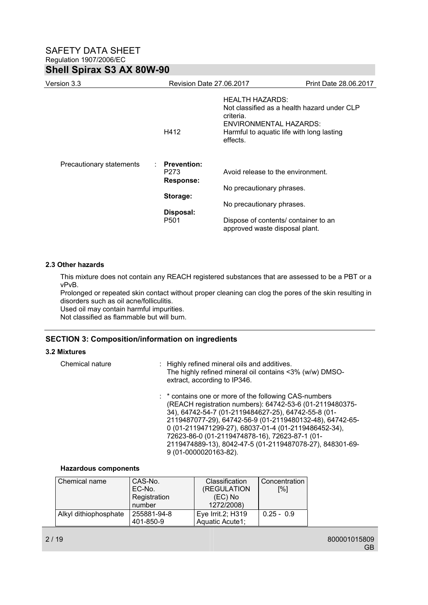| Version 3.3              | Revision Date 27,06,2017                       |                                                                                                                                                                       | Print Date 28.06.2017 |
|--------------------------|------------------------------------------------|-----------------------------------------------------------------------------------------------------------------------------------------------------------------------|-----------------------|
|                          | H412                                           | <b>HEALTH HAZARDS:</b><br>Not classified as a health hazard under CLP<br>criteria.<br>ENVIRONMENTAL HAZARDS:<br>Harmful to aquatic life with long lasting<br>effects. |                       |
| Precautionary statements | <b>Prevention:</b><br>P273<br><b>Response:</b> | Avoid release to the environment.                                                                                                                                     |                       |
|                          |                                                | No precautionary phrases.                                                                                                                                             |                       |
|                          | Storage:                                       | No precautionary phrases.                                                                                                                                             |                       |
|                          | Disposal:<br>P <sub>501</sub>                  | Dispose of contents/ container to an                                                                                                                                  |                       |
|                          |                                                | approved waste disposal plant.                                                                                                                                        |                       |

#### **2.3 Other hazards**

This mixture does not contain any REACH registered substances that are assessed to be a PBT or a vPvB.

Prolonged or repeated skin contact without proper cleaning can clog the pores of the skin resulting in disorders such as oil acne/folliculitis.

Used oil may contain harmful impurities.

Not classified as flammable but will burn.

#### **SECTION 3: Composition/information on ingredients**

#### **3.2 Mixtures**

Chemical nature : Highly refined mineral oils and additives. The highly refined mineral oil contains <3% (w/w) DMSOextract, according to IP346.

> : \* contains one or more of the following CAS-numbers (REACH registration numbers): 64742-53-6 (01-2119480375- 34), 64742-54-7 (01-2119484627-25), 64742-55-8 (01- 2119487077-29), 64742-56-9 (01-2119480132-48), 64742-65- 0 (01-2119471299-27), 68037-01-4 (01-2119486452-34), 72623-86-0 (01-2119474878-16), 72623-87-1 (01- 2119474889-13), 8042-47-5 (01-2119487078-27), 848301-69- 9 (01-0000020163-82).

#### **Hazardous components**

| Chemical name         | CAS-No.      | <b>Classification</b> | Concentration |
|-----------------------|--------------|-----------------------|---------------|
|                       | EC-No.       | (REGULATION           | [%]           |
|                       | Registration | $(EC)$ No             |               |
|                       | number       | 1272/2008)            |               |
| Alkyl dithiophosphate | 255881-94-8  | Eye Irrit.2; H319     | $0.25 - 0.9$  |
|                       | 401-850-9    | Aquatic Acute1;       |               |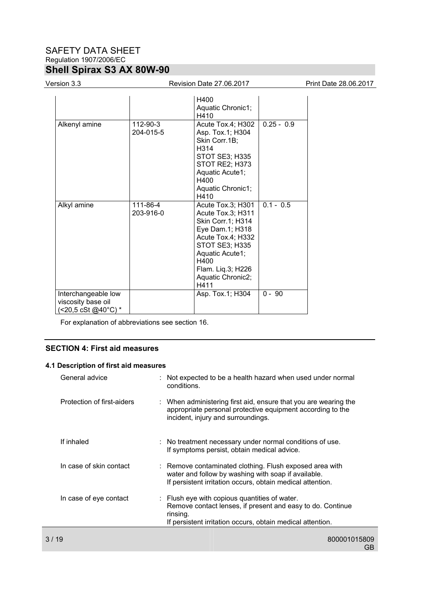# SAFETY DATA SHEET Regulation 1907/2006/EC **Shell Spirax S3 AX 80W-90**

#### Version 3.3 Revision Date 27.06.2017 Print Date 28.06.2017

| Alkenyl amine                                                    | $112 - 90 - 3$<br>204-015-5 | H400<br>Aquatic Chronic1;<br>H410<br>Acute Tox.4; H302<br>Asp. Tox.1; H304<br>Skin Corr.1B;<br>H314<br>STOT SE3; H335<br>STOT RE2; H373<br>Aquatic Acute1;<br>H400<br>Aquatic Chronic1;<br>H410           | $0.25 - 0.9$ |
|------------------------------------------------------------------|-----------------------------|-----------------------------------------------------------------------------------------------------------------------------------------------------------------------------------------------------------|--------------|
| Alkyl amine                                                      | 111-86-4<br>203-916-0       | Acute Tox.3; H301<br>Acute Tox.3; H311<br>Skin Corr.1; H314<br>Eye Dam.1; H318<br>Acute Tox.4; H332<br><b>STOT SE3; H335</b><br>Aquatic Acute1;<br>H400<br>Flam. Lig.3; H226<br>Aquatic Chronic2;<br>H411 | $0.1 - 0.5$  |
| Interchangeable low<br>viscosity base oil<br>(<20,5 cSt @40°C) * |                             | Asp. Tox.1; H304                                                                                                                                                                                          | $0 - 90$     |

For explanation of abbreviations see section 16.

### **SECTION 4: First aid measures**

#### **4.1 Description of first aid measures**

|      | General advice             | : Not expected to be a health hazard when used under normal<br>conditions.                                                                                                            |
|------|----------------------------|---------------------------------------------------------------------------------------------------------------------------------------------------------------------------------------|
|      | Protection of first-aiders | : When administering first aid, ensure that you are wearing the<br>appropriate personal protective equipment according to the<br>incident, injury and surroundings.                   |
|      | If inhaled                 | : No treatment necessary under normal conditions of use.<br>If symptoms persist, obtain medical advice.                                                                               |
|      | In case of skin contact    | : Remove contaminated clothing. Flush exposed area with<br>water and follow by washing with soap if available.<br>If persistent irritation occurs, obtain medical attention.          |
|      | In case of eye contact     | : Flush eye with copious quantities of water.<br>Remove contact lenses, if present and easy to do. Continue<br>rinsing.<br>If persistent irritation occurs, obtain medical attention. |
| 3/19 |                            | 800001015809                                                                                                                                                                          |
|      |                            |                                                                                                                                                                                       |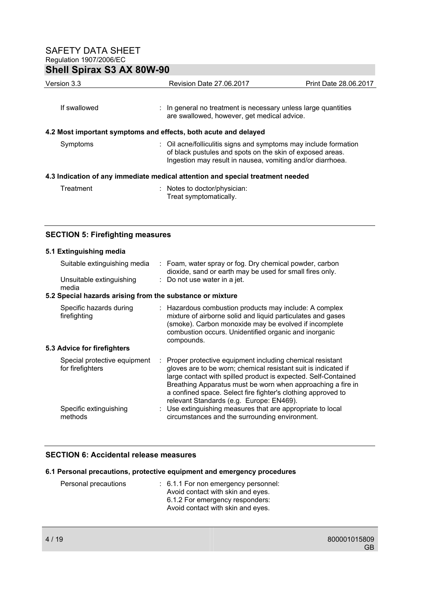| Version 3.3                                                                    | Revision Date 27.06.2017                                                                                                                                                                    | Print Date 28.06.2017 |  |  |  |
|--------------------------------------------------------------------------------|---------------------------------------------------------------------------------------------------------------------------------------------------------------------------------------------|-----------------------|--|--|--|
| If swallowed                                                                   | In general no treatment is necessary unless large quantities<br>are swallowed, however, get medical advice.                                                                                 |                       |  |  |  |
|                                                                                | 4.2 Most important symptoms and effects, both acute and delayed                                                                                                                             |                       |  |  |  |
| Symptoms                                                                       | : Oil acne/folliculitis signs and symptoms may include formation<br>of black pustules and spots on the skin of exposed areas.<br>Ingestion may result in nausea, vomiting and/or diarrhoea. |                       |  |  |  |
| 4.3 Indication of any immediate medical attention and special treatment needed |                                                                                                                                                                                             |                       |  |  |  |
| Treatment                                                                      | : Notes to doctor/physician:<br>Treat symptomatically.                                                                                                                                      |                       |  |  |  |

#### **SECTION 5: Firefighting measures**

### **5.1 Extinguishing media**

| Suitable extinguishing media                              | : Foam, water spray or fog. Dry chemical powder, carbon<br>dioxide, sand or earth may be used for small fires only.                                                                                                                                                                                                                                                     |
|-----------------------------------------------------------|-------------------------------------------------------------------------------------------------------------------------------------------------------------------------------------------------------------------------------------------------------------------------------------------------------------------------------------------------------------------------|
| Unsuitable extinguishing<br>media                         | : Do not use water in a jet.                                                                                                                                                                                                                                                                                                                                            |
| 5.2 Special hazards arising from the substance or mixture |                                                                                                                                                                                                                                                                                                                                                                         |
| Specific hazards during<br>firefighting                   | : Hazardous combustion products may include: A complex<br>mixture of airborne solid and liquid particulates and gases<br>(smoke). Carbon monoxide may be evolved if incomplete<br>combustion occurs. Unidentified organic and inorganic<br>compounds.                                                                                                                   |
| 5.3 Advice for firefighters                               |                                                                                                                                                                                                                                                                                                                                                                         |
| Special protective equipment<br>for firefighters          | Proper protective equipment including chemical resistant<br>gloves are to be worn; chemical resistant suit is indicated if<br>large contact with spilled product is expected. Self-Contained<br>Breathing Apparatus must be worn when approaching a fire in<br>a confined space. Select fire fighter's clothing approved to<br>relevant Standards (e.g. Europe: EN469). |
| Specific extinguishing<br>methods                         | : Use extinguishing measures that are appropriate to local<br>circumstances and the surrounding environment.                                                                                                                                                                                                                                                            |

### **SECTION 6: Accidental release measures**

#### **6.1 Personal precautions, protective equipment and emergency procedures**

| Personal precautions | $\therefore$ 6.1.1 For non emergency personnel: |
|----------------------|-------------------------------------------------|
|                      | Avoid contact with skin and eyes.               |
|                      | 6.1.2 For emergency responders:                 |
|                      | Avoid contact with skin and eyes.               |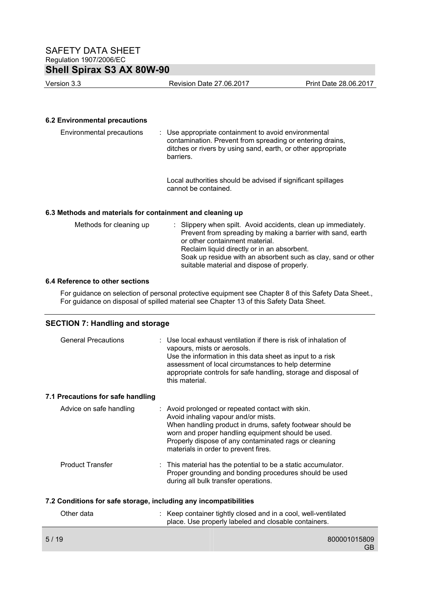Version 3.3 Revision Date 27.06.2017 Print Date 28.06.2017

#### **6.2 Environmental precautions**

| Environmental precautions | : Use appropriate containment to avoid environmental<br>contamination. Prevent from spreading or entering drains,<br>ditches or rivers by using sand, earth, or other appropriate<br>barriers. |
|---------------------------|------------------------------------------------------------------------------------------------------------------------------------------------------------------------------------------------|
|                           |                                                                                                                                                                                                |

 Local authorities should be advised if significant spillages cannot be contained.

#### **6.3 Methods and materials for containment and cleaning up**

| Methods for cleaning up | : Slippery when spilt. Avoid accidents, clean up immediately.<br>Prevent from spreading by making a barrier with sand, earth<br>or other containment material. |
|-------------------------|----------------------------------------------------------------------------------------------------------------------------------------------------------------|
|                         | Reclaim liquid directly or in an absorbent.<br>Soak up residue with an absorbent such as clay, sand or other<br>suitable material and dispose of properly.     |

### **6.4 Reference to other sections**

For guidance on selection of personal protective equipment see Chapter 8 of this Safety Data Sheet., For guidance on disposal of spilled material see Chapter 13 of this Safety Data Sheet.

#### **SECTION 7: Handling and storage**

| <b>General Precautions</b>                                       | : Use local exhaust ventilation if there is risk of inhalation of<br>vapours, mists or aerosols.<br>Use the information in this data sheet as input to a risk<br>assessment of local circumstances to help determine<br>appropriate controls for safe handling, storage and disposal of<br>this material.   |  |  |  |  |
|------------------------------------------------------------------|-------------------------------------------------------------------------------------------------------------------------------------------------------------------------------------------------------------------------------------------------------------------------------------------------------------|--|--|--|--|
| 7.1 Precautions for safe handling                                |                                                                                                                                                                                                                                                                                                             |  |  |  |  |
| Advice on safe handling                                          | : Avoid prolonged or repeated contact with skin.<br>Avoid inhaling vapour and/or mists.<br>When handling product in drums, safety footwear should be<br>worn and proper handling equipment should be used.<br>Properly dispose of any contaminated rags or cleaning<br>materials in order to prevent fires. |  |  |  |  |
| <b>Product Transfer</b>                                          | $\therefore$ This material has the potential to be a static accumulator.<br>Proper grounding and bonding procedures should be used<br>during all bulk transfer operations.                                                                                                                                  |  |  |  |  |
| 7.2 Conditions for safe storage, including any incompatibilities |                                                                                                                                                                                                                                                                                                             |  |  |  |  |

| Other data | : Keep container tightly closed and in a cool, well-ventilated<br>place. Use properly labeled and closable containers. |
|------------|------------------------------------------------------------------------------------------------------------------------|
| 5/19       | 800001015809<br>GB                                                                                                     |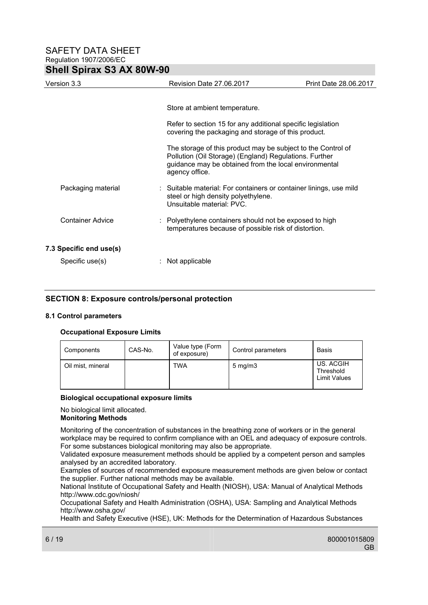| Version 3.3             |  | Revision Date 27.06.2017                                                                                                                                                                          | Print Date 28.06.2017 |
|-------------------------|--|---------------------------------------------------------------------------------------------------------------------------------------------------------------------------------------------------|-----------------------|
|                         |  |                                                                                                                                                                                                   |                       |
|                         |  | Store at ambient temperature.                                                                                                                                                                     |                       |
|                         |  | Refer to section 15 for any additional specific legislation<br>covering the packaging and storage of this product.                                                                                |                       |
|                         |  | The storage of this product may be subject to the Control of<br>Pollution (Oil Storage) (England) Regulations. Further<br>guidance may be obtained from the local environmental<br>agency office. |                       |
| Packaging material      |  | : Suitable material: For containers or container linings, use mild<br>steel or high density polyethylene.<br>Unsuitable material: PVC.                                                            |                       |
| <b>Container Advice</b> |  | : Polyethylene containers should not be exposed to high<br>temperatures because of possible risk of distortion.                                                                                   |                       |
| 7.3 Specific end use(s) |  |                                                                                                                                                                                                   |                       |
| Specific use(s)         |  | Not applicable                                                                                                                                                                                    |                       |

#### **SECTION 8: Exposure controls/personal protection**

#### **8.1 Control parameters**

#### **Occupational Exposure Limits**

| Components        | CAS-No. | Value type (Form<br>of exposure) | Control parameters | <b>Basis</b>                                  |
|-------------------|---------|----------------------------------|--------------------|-----------------------------------------------|
| Oil mist, mineral |         | <b>TWA</b>                       | $5 \text{ mg/m}$   | US. ACGIH<br>Threshold<br><b>Limit Values</b> |

#### **Biological occupational exposure limits**

No biological limit allocated.

### **Monitoring Methods**

Monitoring of the concentration of substances in the breathing zone of workers or in the general workplace may be required to confirm compliance with an OEL and adequacy of exposure controls. For some substances biological monitoring may also be appropriate.

Validated exposure measurement methods should be applied by a competent person and samples analysed by an accredited laboratory.

Examples of sources of recommended exposure measurement methods are given below or contact the supplier. Further national methods may be available.

National Institute of Occupational Safety and Health (NIOSH), USA: Manual of Analytical Methods http://www.cdc.gov/niosh/

Occupational Safety and Health Administration (OSHA), USA: Sampling and Analytical Methods http://www.osha.gov/

Health and Safety Executive (HSE), UK: Methods for the Determination of Hazardous Substances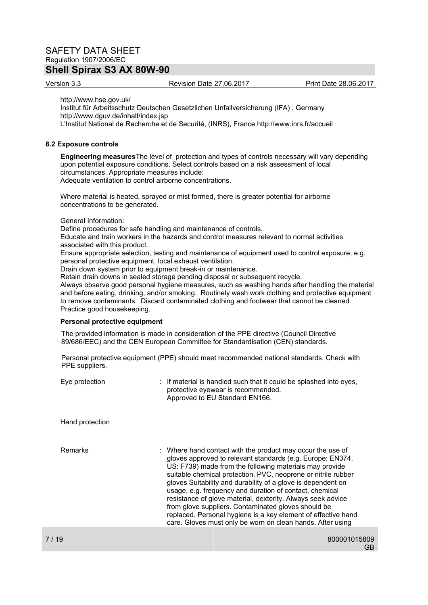Version 3.3 Revision Date 27.06.2017 Print Date 28.06.2017

http://www.hse.gov.uk/

Institut für Arbeitsschutz Deutschen Gesetzlichen Unfallversicherung (IFA) , Germany http://www.dguv.de/inhalt/index.jsp

L'Institut National de Recherche et de Securité, (INRS), France http://www.inrs.fr/accueil

#### **8.2 Exposure controls**

**Engineering measures**The level of protection and types of controls necessary will vary depending upon potential exposure conditions. Select controls based on a risk assessment of local circumstances. Appropriate measures include: Adequate ventilation to control airborne concentrations.

Where material is heated, sprayed or mist formed, there is greater potential for airborne concentrations to be generated.

General Information:

Define procedures for safe handling and maintenance of controls.

Educate and train workers in the hazards and control measures relevant to normal activities associated with this product.

Ensure appropriate selection, testing and maintenance of equipment used to control exposure, e.g. personal protective equipment, local exhaust ventilation.

Drain down system prior to equipment break-in or maintenance.

Retain drain downs in sealed storage pending disposal or subsequent recycle.

Always observe good personal hygiene measures, such as washing hands after handling the material and before eating, drinking, and/or smoking. Routinely wash work clothing and protective equipment to remove contaminants. Discard contaminated clothing and footwear that cannot be cleaned. Practice good housekeeping.

#### **Personal protective equipment**

The provided information is made in consideration of the PPE directive (Council Directive 89/686/EEC) and the CEN European Committee for Standardisation (CEN) standards.

Personal protective equipment (PPE) should meet recommended national standards. Check with PPE suppliers.

| Hand protection<br><b>Remarks</b><br>: Where hand contact with the product may occur the use of<br>gloves approved to relevant standards (e.g. Europe: EN374,<br>US: F739) made from the following materials may provide<br>suitable chemical protection. PVC, neoprene or nitrile rubber<br>gloves Suitability and durability of a glove is dependent on<br>usage, e.g. frequency and duration of contact, chemical<br>resistance of glove material, dexterity. Always seek advice<br>from glove suppliers. Contaminated gloves should be | Eye protection | : If material is handled such that it could be splashed into eyes,<br>protective eyewear is recommended.<br>Approved to EU Standard EN166. |
|--------------------------------------------------------------------------------------------------------------------------------------------------------------------------------------------------------------------------------------------------------------------------------------------------------------------------------------------------------------------------------------------------------------------------------------------------------------------------------------------------------------------------------------------|----------------|--------------------------------------------------------------------------------------------------------------------------------------------|
|                                                                                                                                                                                                                                                                                                                                                                                                                                                                                                                                            |                |                                                                                                                                            |
|                                                                                                                                                                                                                                                                                                                                                                                                                                                                                                                                            |                | replaced. Personal hygiene is a key element of effective hand<br>care. Gloves must only be worn on clean hands. After using                |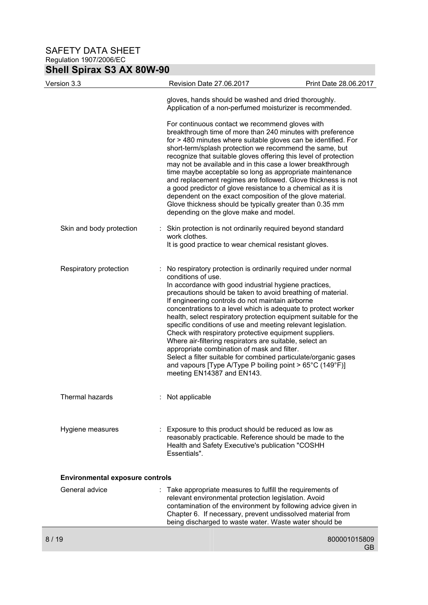| Version 3.3                            | Revision Date 27.06.2017                                                                                                                                                                                                                                                                                                                                                                                                                                                                                                                                                                                                                                                                                                                                                                                                   | Print Date 28.06.2017 |
|----------------------------------------|----------------------------------------------------------------------------------------------------------------------------------------------------------------------------------------------------------------------------------------------------------------------------------------------------------------------------------------------------------------------------------------------------------------------------------------------------------------------------------------------------------------------------------------------------------------------------------------------------------------------------------------------------------------------------------------------------------------------------------------------------------------------------------------------------------------------------|-----------------------|
|                                        | gloves, hands should be washed and dried thoroughly.<br>Application of a non-perfumed moisturizer is recommended.                                                                                                                                                                                                                                                                                                                                                                                                                                                                                                                                                                                                                                                                                                          |                       |
|                                        | For continuous contact we recommend gloves with<br>breakthrough time of more than 240 minutes with preference<br>for > 480 minutes where suitable gloves can be identified. For<br>short-term/splash protection we recommend the same, but<br>recognize that suitable gloves offering this level of protection<br>may not be available and in this case a lower breakthrough<br>time maybe acceptable so long as appropriate maintenance<br>and replacement regimes are followed. Glove thickness is not<br>a good predictor of glove resistance to a chemical as it is<br>dependent on the exact composition of the glove material.<br>Glove thickness should be typically greater than 0.35 mm<br>depending on the glove make and model.                                                                                 |                       |
| Skin and body protection               | : Skin protection is not ordinarily required beyond standard<br>work clothes.<br>It is good practice to wear chemical resistant gloves.                                                                                                                                                                                                                                                                                                                                                                                                                                                                                                                                                                                                                                                                                    |                       |
| Respiratory protection                 | No respiratory protection is ordinarily required under normal<br>conditions of use.<br>In accordance with good industrial hygiene practices,<br>precautions should be taken to avoid breathing of material.<br>If engineering controls do not maintain airborne<br>concentrations to a level which is adequate to protect worker<br>health, select respiratory protection equipment suitable for the<br>specific conditions of use and meeting relevant legislation.<br>Check with respiratory protective equipment suppliers.<br>Where air-filtering respirators are suitable, select an<br>appropriate combination of mask and filter.<br>Select a filter suitable for combined particulate/organic gases<br>and vapours [Type A/Type P boiling point > $65^{\circ}$ C (149 $^{\circ}$ F)]<br>meeting EN14387 and EN143. |                       |
| Thermal hazards                        | : Not applicable                                                                                                                                                                                                                                                                                                                                                                                                                                                                                                                                                                                                                                                                                                                                                                                                           |                       |
| Hygiene measures                       | Exposure to this product should be reduced as low as<br>reasonably practicable. Reference should be made to the<br>Health and Safety Executive's publication "COSHH<br>Essentials".                                                                                                                                                                                                                                                                                                                                                                                                                                                                                                                                                                                                                                        |                       |
| <b>Environmental exposure controls</b> |                                                                                                                                                                                                                                                                                                                                                                                                                                                                                                                                                                                                                                                                                                                                                                                                                            |                       |
| General advice                         | : Take appropriate measures to fulfill the requirements of<br>relevant environmental protection legislation. Avoid<br>contamination of the environment by following advice given in<br>Chapter 6. If necessary, prevent undissolved material from<br>being discharged to waste water. Waste water should be                                                                                                                                                                                                                                                                                                                                                                                                                                                                                                                |                       |
| 8 / 19                                 |                                                                                                                                                                                                                                                                                                                                                                                                                                                                                                                                                                                                                                                                                                                                                                                                                            | 800001015809          |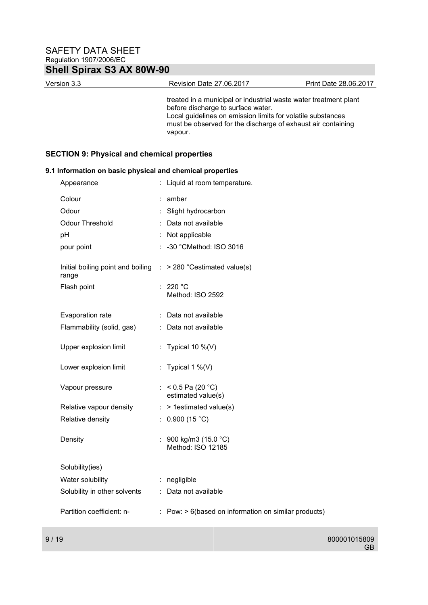Version 3.3 Revision Date 27.06.2017 Print Date 28.06.2017

treated in a municipal or industrial waste water treatment plant before discharge to surface water. Local guidelines on emission limits for volatile substances must be observed for the discharge of exhaust air containing vapour.

### **SECTION 9: Physical and chemical properties**

| Appearance                                                                          | : Liquid at room temperature.                                      |
|-------------------------------------------------------------------------------------|--------------------------------------------------------------------|
| Colour                                                                              | amber                                                              |
| Odour                                                                               | Slight hydrocarbon                                                 |
| <b>Odour Threshold</b>                                                              | Data not available                                                 |
| pH                                                                                  | : Not applicable                                                   |
| pour point                                                                          | : -30 °CMethod: ISO 3016                                           |
| Initial boiling point and boiling $\therefore$ > 280 °C estimated value(s)<br>range |                                                                    |
| Flash point                                                                         | 220 °C                                                             |
|                                                                                     | Method: ISO 2592                                                   |
| Evaporation rate                                                                    | : Data not available                                               |
| Flammability (solid, gas)                                                           | : Data not available                                               |
| Upper explosion limit                                                               | : Typical 10 $\%$ (V)                                              |
| Lower explosion limit                                                               | : Typical 1 %(V)                                                   |
|                                                                                     |                                                                    |
| Vapour pressure                                                                     | : < $0.5$ Pa (20 °C)<br>estimated value(s)                         |
| Relative vapour density                                                             | > 1estimated value(s)                                              |
| Relative density                                                                    | : $0.900(15 °C)$                                                   |
|                                                                                     |                                                                    |
| Density                                                                             | : 900 kg/m3 (15.0 $^{\circ}$ C)<br>Method: ISO 12185               |
|                                                                                     |                                                                    |
| Solubility(ies)                                                                     |                                                                    |
| Water solubility                                                                    | : negligible                                                       |
| Solubility in other solvents                                                        | : Data not available                                               |
| Partition coefficient: n-                                                           | $\therefore$ Pow: $> 6$ (based on information on similar products) |
|                                                                                     |                                                                    |

# **9.1 Information on basic physical and chemical properties**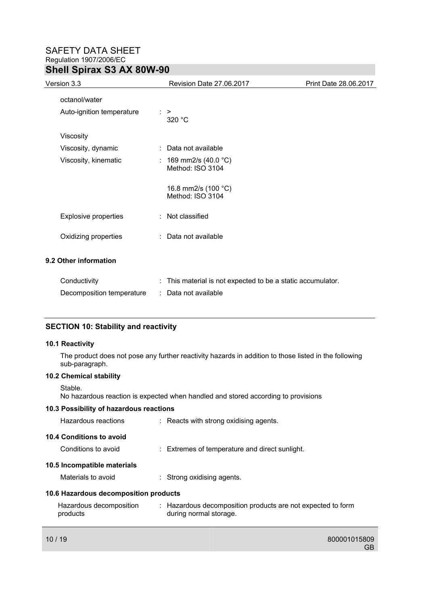| Version 3.3                 | Revision Date 27.06.2017                  | Print Date 28.06.2017 |
|-----------------------------|-------------------------------------------|-----------------------|
| octanol/water               |                                           |                       |
| Auto-ignition temperature   | $\therefore$ ><br>320 °C                  |                       |
| Viscosity                   |                                           |                       |
| Viscosity, dynamic          | : Data not available                      |                       |
| Viscosity, kinematic        | : 169 mm2/s (40.0 °C)<br>Method: ISO 3104 |                       |
|                             | 16.8 mm2/s (100 °C)<br>Method: ISO 3104   |                       |
| <b>Explosive properties</b> | : Not classified                          |                       |
| Oxidizing properties        | : Data not available                      |                       |
| 9.2 Other information       |                                           |                       |

| Conductivity              | : This material is not expected to be a static accumulator. |
|---------------------------|-------------------------------------------------------------|
| Decomposition temperature | : Data not available                                        |

### **SECTION 10: Stability and reactivity**

#### **10.1 Reactivity**

The product does not pose any further reactivity hazards in addition to those listed in the following sub-paragraph.

#### **10.2 Chemical stability**

Stable.

No hazardous reaction is expected when handled and stored according to provisions

#### **10.3 Possibility of hazardous reactions**

| Hazardous reactions                   | : Reacts with strong oxidising agents.                                                |
|---------------------------------------|---------------------------------------------------------------------------------------|
| 10.4 Conditions to avoid              |                                                                                       |
| Conditions to avoid                   | $\therefore$ Extremes of temperature and direct sunlight.                             |
| 10.5 Incompatible materials           |                                                                                       |
| Materials to avoid                    | $\therefore$ Strong oxidising agents.                                                 |
| 10.6 Hazardous decomposition products |                                                                                       |
| Hazardous decomposition<br>products   | : Hazardous decomposition products are not expected to form<br>during normal storage. |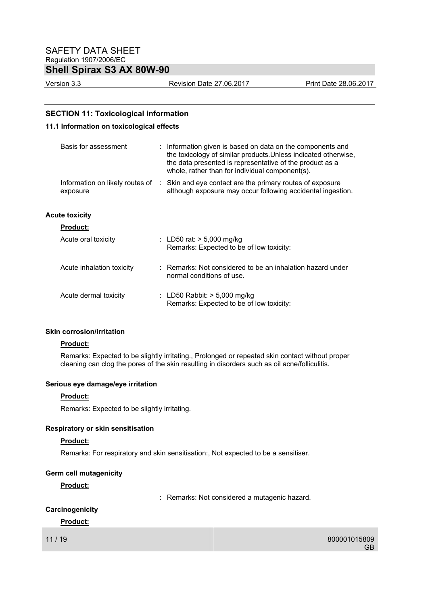Version 3.3 Revision Date 27.06.2017 Print Date 28.06.2017

### **SECTION 11: Toxicological information**

#### **11.1 Information on toxicological effects**

| Basis for assessment                          | Information given is based on data on the components and<br>the toxicology of similar products. Unless indicated otherwise,<br>the data presented is representative of the product as a<br>whole, rather than for individual component(s). |
|-----------------------------------------------|--------------------------------------------------------------------------------------------------------------------------------------------------------------------------------------------------------------------------------------------|
| Information on likely routes of :<br>exposure | Skin and eye contact are the primary routes of exposure<br>although exposure may occur following accidental ingestion.                                                                                                                     |
| <b>Acute toxicity</b>                         |                                                                                                                                                                                                                                            |
| <b>Product:</b>                               |                                                                                                                                                                                                                                            |
| Acute oral toxicity                           | : LD50 rat: $> 5,000$ mg/kg<br>Remarks: Expected to be of low toxicity:                                                                                                                                                                    |
| Acute inhalation toxicity                     | : Remarks: Not considered to be an inhalation hazard under<br>normal conditions of use.                                                                                                                                                    |
| Acute dermal toxicity                         | : LD50 Rabbit: $>$ 5,000 mg/kg<br>Remarks: Expected to be of low toxicity:                                                                                                                                                                 |

#### **Skin corrosion/irritation**

#### **Product:**

Remarks: Expected to be slightly irritating., Prolonged or repeated skin contact without proper cleaning can clog the pores of the skin resulting in disorders such as oil acne/folliculitis.

#### **Serious eye damage/eye irritation**

#### **Product:**

Remarks: Expected to be slightly irritating.

#### **Respiratory or skin sensitisation**

#### **Product:**

Remarks: For respiratory and skin sensitisation:, Not expected to be a sensitiser.

#### **Germ cell mutagenicity**

#### **Product:**

: Remarks: Not considered a mutagenic hazard.

### **Carcinogenicity**

#### **Product:**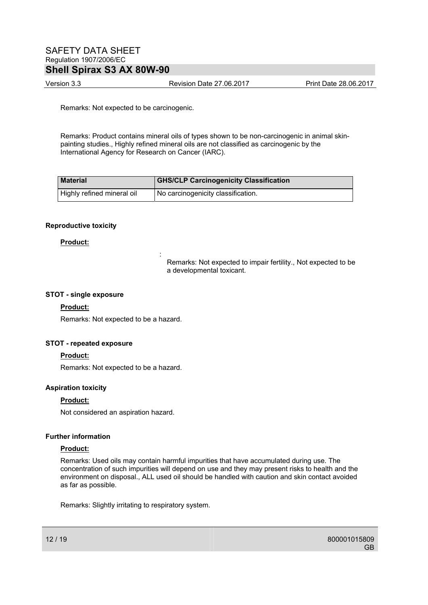### SAFETY DATA SHEET Regulation 1907/2006/EC **Shell Spirax S3 AX 80W-90**

Version 3.3 Revision Date 27.06.2017 Print Date 28.06.2017

Remarks: Not expected to be carcinogenic.

Remarks: Product contains mineral oils of types shown to be non-carcinogenic in animal skinpainting studies., Highly refined mineral oils are not classified as carcinogenic by the International Agency for Research on Cancer (IARC).

| <b>Material</b>            | <b>GHS/CLP Carcinogenicity Classification</b> |
|----------------------------|-----------------------------------------------|
| Highly refined mineral oil | No carcinogenicity classification.            |

#### **Reproductive toxicity**

#### **Product:**

Remarks: Not expected to impair fertility., Not expected to be a developmental toxicant.

#### **STOT - single exposure**

#### **Product:**

Remarks: Not expected to be a hazard.

**Service State State State State** 

#### **STOT - repeated exposure**

#### **Product:**

Remarks: Not expected to be a hazard.

#### **Aspiration toxicity**

#### **Product:**

Not considered an aspiration hazard.

#### **Further information**

#### **Product:**

Remarks: Used oils may contain harmful impurities that have accumulated during use. The concentration of such impurities will depend on use and they may present risks to health and the environment on disposal., ALL used oil should be handled with caution and skin contact avoided as far as possible.

Remarks: Slightly irritating to respiratory system.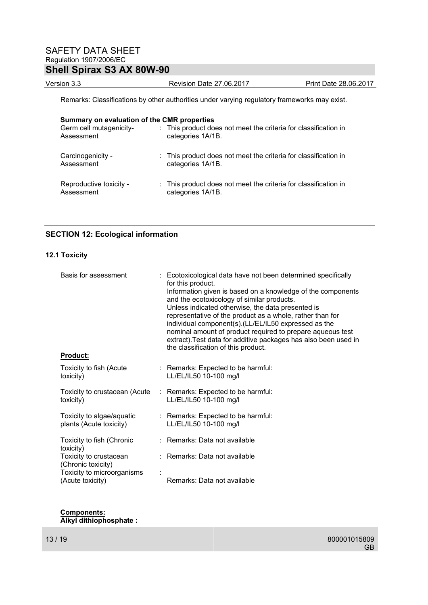Version 3.3 Revision Date 27.06.2017 Print Date 28.06.2017

Remarks: Classifications by other authorities under varying regulatory frameworks may exist.

| Summary on evaluation of the CMR properties<br>Germ cell mutagenicity-<br>Assessment | : This product does not meet the criteria for classification in<br>categories 1A/1B. |
|--------------------------------------------------------------------------------------|--------------------------------------------------------------------------------------|
| Carcinogenicity -<br>Assessment                                                      | : This product does not meet the criteria for classification in<br>categories 1A/1B. |
| Reproductive toxicity -<br>Assessment                                                | : This product does not meet the criteria for classification in<br>categories 1A/1B. |

### **SECTION 12: Ecological information**

#### **12.1 Toxicity**

| Basis for assessment                           | : Ecotoxicological data have not been determined specifically<br>for this product.                                 |
|------------------------------------------------|--------------------------------------------------------------------------------------------------------------------|
|                                                | Information given is based on a knowledge of the components<br>and the ecotoxicology of similar products.          |
|                                                | Unless indicated otherwise, the data presented is                                                                  |
|                                                | representative of the product as a whole, rather than for                                                          |
|                                                | individual component(s).(LL/EL/IL50 expressed as the<br>nominal amount of product required to prepare aqueous test |
|                                                | extract). Test data for additive packages has also been used in<br>the classification of this product.             |
| <u>Product:</u>                                |                                                                                                                    |
| Toxicity to fish (Acute<br>toxicity)           | : Remarks: Expected to be harmful:<br>LL/EL/IL50 10-100 mg/l                                                       |
| Toxicity to crustacean (Acute<br>toxicity)     | : Remarks: Expected to be harmful:<br>LL/EL/IL50 10-100 mg/l                                                       |
| Toxicity to algae/aquatic                      | : Remarks: Expected to be harmful:                                                                                 |
| plants (Acute toxicity)                        | LL/EL/IL50 10-100 mg/l                                                                                             |
| Toxicity to fish (Chronic<br>toxicity)         | : Remarks: Data not available                                                                                      |
| Toxicity to crustacean<br>(Chronic toxicity)   | : Remarks: Data not available                                                                                      |
| Toxicity to microorganisms<br>(Acute toxicity) | Remarks: Data not available                                                                                        |

#### **Components: Alkyl dithiophosphate :**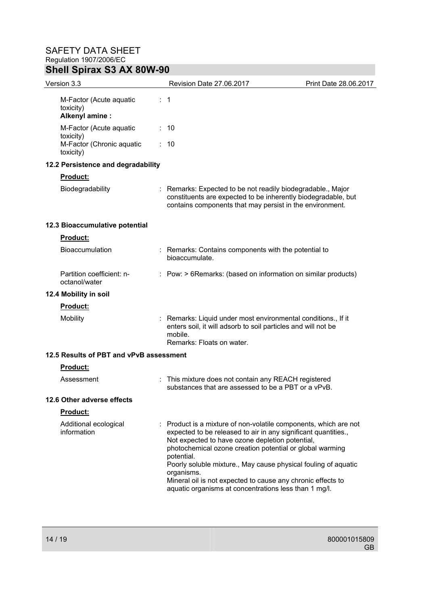| Version 3.3                                             | Revision Date 27.06.2017                                                                                                                                                                                                                                                                                                                                                                                                                                              | Print Date 28.06.2017 |
|---------------------------------------------------------|-----------------------------------------------------------------------------------------------------------------------------------------------------------------------------------------------------------------------------------------------------------------------------------------------------------------------------------------------------------------------------------------------------------------------------------------------------------------------|-----------------------|
| M-Factor (Acute aquatic<br>toxicity)<br>Alkenyl amine : | $\therefore$ 1                                                                                                                                                                                                                                                                                                                                                                                                                                                        |                       |
| M-Factor (Acute aquatic                                 | : 10                                                                                                                                                                                                                                                                                                                                                                                                                                                                  |                       |
| toxicity)<br>M-Factor (Chronic aquatic<br>toxicity)     | : 10                                                                                                                                                                                                                                                                                                                                                                                                                                                                  |                       |
| 12.2 Persistence and degradability                      |                                                                                                                                                                                                                                                                                                                                                                                                                                                                       |                       |
| <b>Product:</b>                                         |                                                                                                                                                                                                                                                                                                                                                                                                                                                                       |                       |
| Biodegradability                                        | : Remarks: Expected to be not readily biodegradable., Major<br>constituents are expected to be inherently biodegradable, but<br>contains components that may persist in the environment.                                                                                                                                                                                                                                                                              |                       |
| 12.3 Bioaccumulative potential                          |                                                                                                                                                                                                                                                                                                                                                                                                                                                                       |                       |
| Product:                                                |                                                                                                                                                                                                                                                                                                                                                                                                                                                                       |                       |
| Bioaccumulation                                         | : Remarks: Contains components with the potential to<br>bioaccumulate.                                                                                                                                                                                                                                                                                                                                                                                                |                       |
| Partition coefficient: n-<br>octanol/water              | : Pow: > 6Remarks: (based on information on similar products)                                                                                                                                                                                                                                                                                                                                                                                                         |                       |
| 12.4 Mobility in soil                                   |                                                                                                                                                                                                                                                                                                                                                                                                                                                                       |                       |
| Product:                                                |                                                                                                                                                                                                                                                                                                                                                                                                                                                                       |                       |
| Mobility                                                | Remarks: Liquid under most environmental conditions., If it<br>enters soil, it will adsorb to soil particles and will not be<br>mobile.<br>Remarks: Floats on water.                                                                                                                                                                                                                                                                                                  |                       |
| 12.5 Results of PBT and vPvB assessment                 |                                                                                                                                                                                                                                                                                                                                                                                                                                                                       |                       |
| Product:                                                |                                                                                                                                                                                                                                                                                                                                                                                                                                                                       |                       |
| Assessment                                              | This mixture does not contain any REACH registered<br>substances that are assessed to be a PBT or a vPvB.                                                                                                                                                                                                                                                                                                                                                             |                       |
| 12.6 Other adverse effects                              |                                                                                                                                                                                                                                                                                                                                                                                                                                                                       |                       |
| <b>Product:</b>                                         |                                                                                                                                                                                                                                                                                                                                                                                                                                                                       |                       |
| Additional ecological<br>information                    | Product is a mixture of non-volatile components, which are not<br>expected to be released to air in any significant quantities.,<br>Not expected to have ozone depletion potential,<br>photochemical ozone creation potential or global warming<br>potential.<br>Poorly soluble mixture., May cause physical fouling of aquatic<br>organisms.<br>Mineral oil is not expected to cause any chronic effects to<br>aquatic organisms at concentrations less than 1 mg/l. |                       |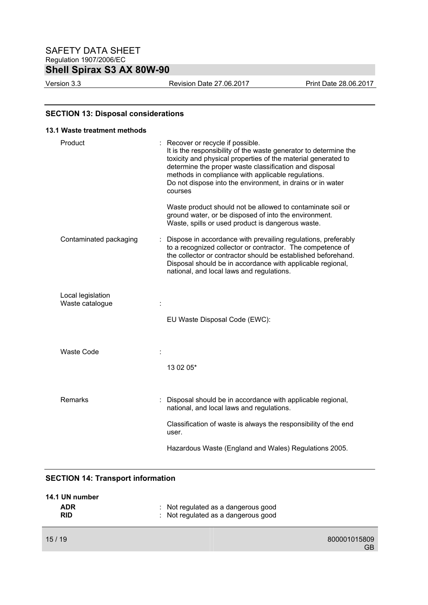Version 3.3 Revision Date 27.06.2017 Print Date 28.06.2017

#### **SECTION 13: Disposal considerations**

# **13.1 Waste treatment methods**  Product : Recover or recycle if possible. It is the responsibility of the waste generator to determine the toxicity and physical properties of the material generated to determine the proper waste classification and disposal methods in compliance with applicable regulations. Do not dispose into the environment, in drains or in water courses Waste product should not be allowed to contaminate soil or ground water, or be disposed of into the environment. Waste, spills or used product is dangerous waste. Contaminated packaging : Dispose in accordance with prevailing regulations, preferably to a recognized collector or contractor. The competence of the collector or contractor should be established beforehand. Disposal should be in accordance with applicable regional, national, and local laws and regulations. Local legislation Waste catalogue  $\qquad \qquad$  : EU Waste Disposal Code (EWC): Waste Code : 13 02 05\* Remarks : Disposal should be in accordance with applicable regional, national, and local laws and regulations. Classification of waste is always the responsibility of the end user. Hazardous Waste (England and Wales) Regulations 2005.

#### **SECTION 14: Transport information**

| 14.1 UN number           |                                                                            |  |
|--------------------------|----------------------------------------------------------------------------|--|
| <b>ADR</b><br><b>RID</b> | : Not regulated as a dangerous good<br>: Not regulated as a dangerous good |  |
|                          |                                                                            |  |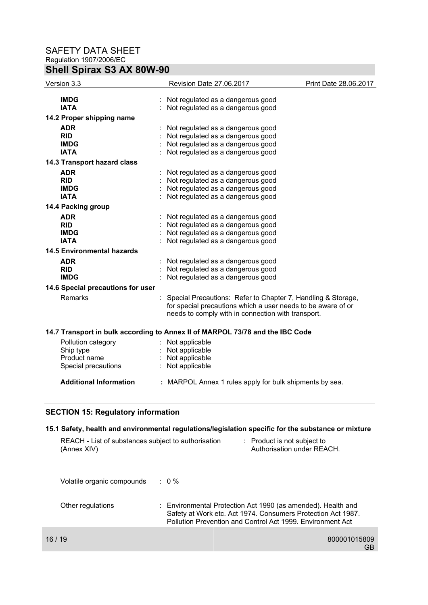| Version 3.3                       | Revision Date 27.06.2017                                                                                                                                                           | Print Date 28.06.2017 |
|-----------------------------------|------------------------------------------------------------------------------------------------------------------------------------------------------------------------------------|-----------------------|
| <b>IMDG</b>                       | Not regulated as a dangerous good                                                                                                                                                  |                       |
| <b>IATA</b>                       | : Not regulated as a dangerous good                                                                                                                                                |                       |
| 14.2 Proper shipping name         |                                                                                                                                                                                    |                       |
| <b>ADR</b>                        | Not regulated as a dangerous good                                                                                                                                                  |                       |
| <b>RID</b>                        | Not regulated as a dangerous good                                                                                                                                                  |                       |
| <b>IMDG</b>                       | Not regulated as a dangerous good                                                                                                                                                  |                       |
| <b>IATA</b>                       | Not regulated as a dangerous good                                                                                                                                                  |                       |
| 14.3 Transport hazard class       |                                                                                                                                                                                    |                       |
| <b>ADR</b>                        | Not regulated as a dangerous good                                                                                                                                                  |                       |
| <b>RID</b>                        | Not regulated as a dangerous good                                                                                                                                                  |                       |
| <b>IMDG</b>                       | Not regulated as a dangerous good                                                                                                                                                  |                       |
| <b>IATA</b>                       | Not regulated as a dangerous good                                                                                                                                                  |                       |
| 14.4 Packing group                |                                                                                                                                                                                    |                       |
| <b>ADR</b>                        | Not regulated as a dangerous good                                                                                                                                                  |                       |
| <b>RID</b>                        | Not regulated as a dangerous good                                                                                                                                                  |                       |
| <b>IMDG</b>                       | Not regulated as a dangerous good                                                                                                                                                  |                       |
| <b>IATA</b>                       | Not regulated as a dangerous good                                                                                                                                                  |                       |
| <b>14.5 Environmental hazards</b> |                                                                                                                                                                                    |                       |
| <b>ADR</b>                        | Not regulated as a dangerous good                                                                                                                                                  |                       |
| <b>RID</b>                        | Not regulated as a dangerous good                                                                                                                                                  |                       |
| <b>IMDG</b>                       | Not regulated as a dangerous good                                                                                                                                                  |                       |
| 14.6 Special precautions for user |                                                                                                                                                                                    |                       |
| <b>Remarks</b>                    | Special Precautions: Refer to Chapter 7, Handling & Storage,<br>for special precautions which a user needs to be aware of or<br>needs to comply with in connection with transport. |                       |
|                                   | 14.7 Transport in bulk according to Annex II of MARPOL 73/78 and the IBC Code                                                                                                      |                       |
| Pollution category                | Not applicable                                                                                                                                                                     |                       |
| Ship type                         | Not applicable                                                                                                                                                                     |                       |
| Product name                      | : Not applicable                                                                                                                                                                   |                       |
| Special precautions               | Not applicable                                                                                                                                                                     |                       |
| <b>Additional Information</b>     | : MARPOL Annex 1 rules apply for bulk shipments by sea.                                                                                                                            |                       |
|                                   |                                                                                                                                                                                    |                       |

## **SECTION 15: Regulatory information**

### **15.1 Safety, health and environmental regulations/legislation specific for the substance or mixture**

| REACH - List of substances subject to authorisation<br>(Annex XIV) |                  | : Product is not subject to<br>Authorisation under REACH.                                                                                                                                  |
|--------------------------------------------------------------------|------------------|--------------------------------------------------------------------------------------------------------------------------------------------------------------------------------------------|
| Volatile organic compounds                                         | $\therefore$ 0 % |                                                                                                                                                                                            |
| Other regulations                                                  |                  | : Environmental Protection Act 1990 (as amended). Health and<br>Safety at Work etc. Act 1974. Consumers Protection Act 1987.<br>Pollution Prevention and Control Act 1999. Environment Act |
| 16 / 19                                                            |                  | 800001015809                                                                                                                                                                               |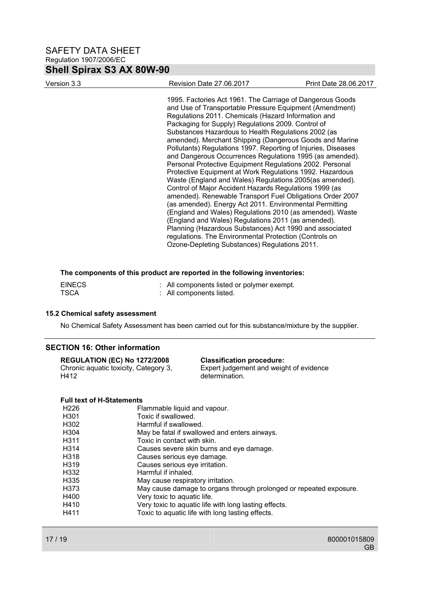| Version 3.3 | Revision Date 27.06.2017                                                                                                                                                                                                                                                                                                                                                                                                                                                                                                                                                                                                                                                                                                                                                                                                                                                                                                                                                                                                                                                                                                                      | Print Date 28.06.2017 |
|-------------|-----------------------------------------------------------------------------------------------------------------------------------------------------------------------------------------------------------------------------------------------------------------------------------------------------------------------------------------------------------------------------------------------------------------------------------------------------------------------------------------------------------------------------------------------------------------------------------------------------------------------------------------------------------------------------------------------------------------------------------------------------------------------------------------------------------------------------------------------------------------------------------------------------------------------------------------------------------------------------------------------------------------------------------------------------------------------------------------------------------------------------------------------|-----------------------|
|             | 1995. Factories Act 1961. The Carriage of Dangerous Goods<br>and Use of Transportable Pressure Equipment (Amendment)<br>Regulations 2011. Chemicals (Hazard Information and<br>Packaging for Supply) Regulations 2009. Control of<br>Substances Hazardous to Health Regulations 2002 (as<br>amended). Merchant Shipping (Dangerous Goods and Marine<br>Pollutants) Regulations 1997. Reporting of Injuries, Diseases<br>and Dangerous Occurrences Regulations 1995 (as amended).<br>Personal Protective Equipment Regulations 2002. Personal<br>Protective Equipment at Work Regulations 1992. Hazardous<br>Waste (England and Wales) Regulations 2005(as amended).<br>Control of Major Accident Hazards Regulations 1999 (as<br>amended). Renewable Transport Fuel Obligations Order 2007<br>(as amended). Energy Act 2011. Environmental Permitting<br>(England and Wales) Regulations 2010 (as amended). Waste<br>(England and Wales) Regulations 2011 (as amended).<br>Planning (Hazardous Substances) Act 1990 and associated<br>regulations. The Environmental Protection (Controls on<br>Ozone-Depleting Substances) Regulations 2011. |                       |

#### **The components of this product are reported in the following inventories:**

| <b>EINECS</b> | : All components listed or polymer exempt. |
|---------------|--------------------------------------------|
| <b>TSCA</b>   | : All components listed.                   |

#### **15.2 Chemical safety assessment**

No Chemical Safety Assessment has been carried out for this substance/mixture by the supplier.

#### **SECTION 16: Other information**

#### **REGULATION (EC) No 1272/2008 Classification procedure:**

Chronic aquatic toxicity, Category 3, H412

Expert judgement and weight of evidence determination.

### **Full text of H-Statements**

| H301<br>Toxic if swallowed.<br>H302<br>Harmful if swallowed.<br>H304<br>May be fatal if swallowed and enters airways. |  |
|-----------------------------------------------------------------------------------------------------------------------|--|
|                                                                                                                       |  |
|                                                                                                                       |  |
|                                                                                                                       |  |
| H311<br>Toxic in contact with skin.                                                                                   |  |
| H314<br>Causes severe skin burns and eye damage.                                                                      |  |
| H318<br>Causes serious eye damage.                                                                                    |  |
| H319<br>Causes serious eye irritation.                                                                                |  |
| H332<br>Harmful if inhaled.                                                                                           |  |
| H335<br>May cause respiratory irritation.                                                                             |  |
| H373<br>May cause damage to organs through prolonged or repeated exposure.                                            |  |
| H400<br>Very toxic to aquatic life.                                                                                   |  |
| H410<br>Very toxic to aquatic life with long lasting effects.                                                         |  |
| H411<br>Toxic to aquatic life with long lasting effects.                                                              |  |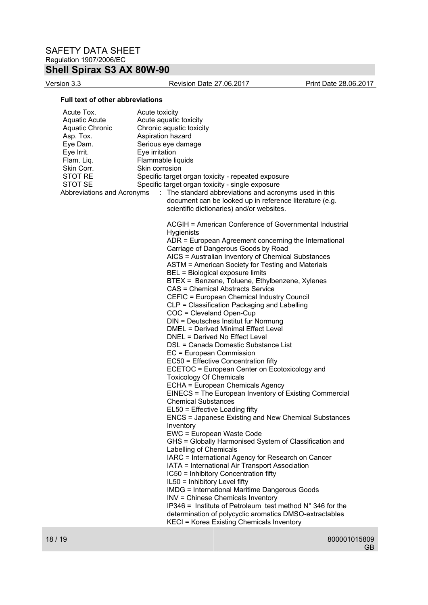Version 3.3 Revision Date 27.06.2017 Print Date 28.06.2017

#### **Full text of other abbreviations**

| Acute Tox.<br><b>Aquatic Acute</b><br><b>Aquatic Chronic</b><br>Asp. Tox.<br>Eye Dam.<br>Eye Irrit.<br>Flam. Liq.<br>Skin Corr.<br>STOT RE<br><b>STOT SE</b><br>Abbreviations and Acronyms | Acute toxicity<br>Acute aquatic toxicity<br>Chronic aquatic toxicity<br>Aspiration hazard<br>Serious eye damage<br>Eye irritation<br>Flammable liquids<br>Skin corrosion<br>Specific target organ toxicity - repeated exposure<br>Specific target organ toxicity - single exposure<br>: The standard abbreviations and acronyms used in this<br>document can be looked up in reference literature (e.g.<br>scientific dictionaries) and/or websites.                                                                                                                                                                                                                                                                                                                                                                                                                                                                                                                                                                                                                                                                                                                                                                                                                                                                                                                                                                                                                                                                                                                                                                                                                                             |
|--------------------------------------------------------------------------------------------------------------------------------------------------------------------------------------------|--------------------------------------------------------------------------------------------------------------------------------------------------------------------------------------------------------------------------------------------------------------------------------------------------------------------------------------------------------------------------------------------------------------------------------------------------------------------------------------------------------------------------------------------------------------------------------------------------------------------------------------------------------------------------------------------------------------------------------------------------------------------------------------------------------------------------------------------------------------------------------------------------------------------------------------------------------------------------------------------------------------------------------------------------------------------------------------------------------------------------------------------------------------------------------------------------------------------------------------------------------------------------------------------------------------------------------------------------------------------------------------------------------------------------------------------------------------------------------------------------------------------------------------------------------------------------------------------------------------------------------------------------------------------------------------------------|
|                                                                                                                                                                                            | ACGIH = American Conference of Governmental Industrial<br><b>Hygienists</b><br>ADR = European Agreement concerning the International<br>Carriage of Dangerous Goods by Road<br>AICS = Australian Inventory of Chemical Substances<br>ASTM = American Society for Testing and Materials<br>BEL = Biological exposure limits<br>BTEX = Benzene, Toluene, Ethylbenzene, Xylenes<br><b>CAS = Chemical Abstracts Service</b><br>CEFIC = European Chemical Industry Council<br>CLP = Classification Packaging and Labelling<br>COC = Cleveland Open-Cup<br>DIN = Deutsches Institut fur Normung<br>DMEL = Derived Minimal Effect Level<br>DNEL = Derived No Effect Level<br>DSL = Canada Domestic Substance List<br>EC = European Commission<br>EC50 = Effective Concentration fifty<br>ECETOC = European Center on Ecotoxicology and<br><b>Toxicology Of Chemicals</b><br>ECHA = European Chemicals Agency<br>EINECS = The European Inventory of Existing Commercial<br><b>Chemical Substances</b><br>EL50 = Effective Loading fifty<br><b>ENCS = Japanese Existing and New Chemical Substances</b><br>Inventory<br>EWC = European Waste Code<br>GHS = Globally Harmonised System of Classification and<br>Labelling of Chemicals<br>IARC = International Agency for Research on Cancer<br>IATA = International Air Transport Association<br>IC50 = Inhibitory Concentration fifty<br>IL50 = Inhibitory Level fifty<br><b>IMDG = International Maritime Dangerous Goods</b><br><b>INV = Chinese Chemicals Inventory</b><br>IP346 = Institute of Petroleum test method $N^{\circ}$ 346 for the<br>determination of polycyclic aromatics DMSO-extractables<br>KECI = Korea Existing Chemicals Inventory |